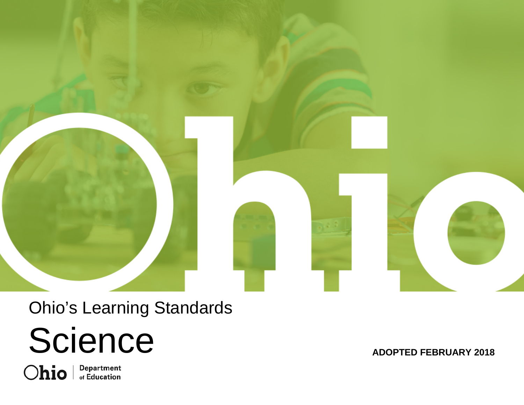

## Ohio's Learning Standards

# Science

**ADOPTED FEBRUARY 201 8**

Ohio **Department**<br>of Education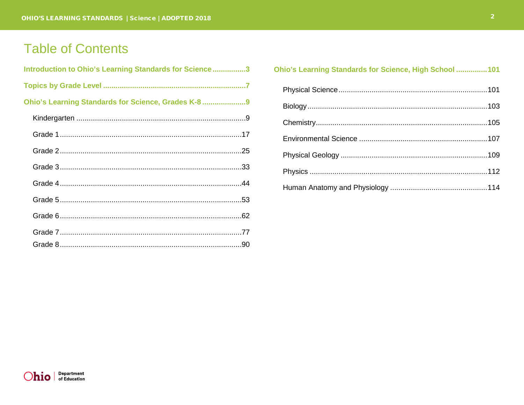## **Table of Contents**

| Introduction to Ohio's Learning Standards for Science3 |  |
|--------------------------------------------------------|--|
|                                                        |  |
| Ohio's Learning Standards for Science, Grades K-8      |  |
|                                                        |  |
|                                                        |  |
|                                                        |  |
|                                                        |  |
|                                                        |  |
|                                                        |  |
|                                                        |  |
|                                                        |  |
|                                                        |  |

#### Ohio's Learning Standards for Science, High School ............... 101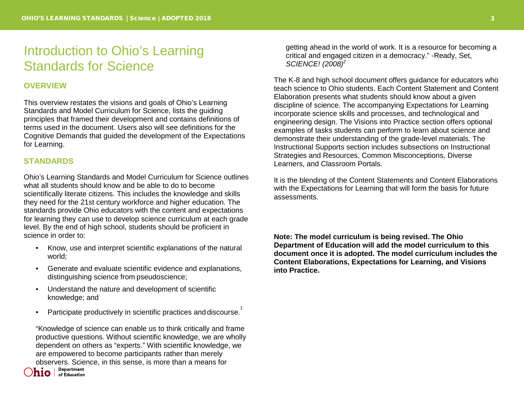## <span id="page-2-0"></span>Introduction to Ohio's Learning Standards for Science

#### **OVERVIEW**

This overview restates the visions and goals of Ohio's Learning Standards and Model Curriculum for Science, lists the guiding principles that framed their development and contains definitions of terms used in the document. Users also will see definitions for the Cognitive Demands that guided the development of the Expectations for Learning.

#### **STANDARDS**

Ohio's Learning Standards and Model Curriculum for Science outlines what all students should know and be able to do to become scientifically literate citizens. This includes the knowledge and skills they need for the 21st century workforce and higher education. The standards provide Ohio educators with the content and expectations for learning they can use to develop science curriculum at each grade level. By the end of high school, students should be proficient in science in order to:

- Know, use and interpret scientific explanations of the natural world;
- Generate and evaluate scientific evidence and explanations, distinguishing science from pseudoscience;
- Understand the nature and development of scientific knowledge; and
- Participate productively in scientific practices and discourse.<sup>1</sup>

"Knowledge of science can enable us to think critically and frame productive questions. Without scientific knowledge, we are wholly dependent on others as "experts." With scientific knowledge, we are empowered to become participants rather than merely observers. Science, in this sense, is more than a means for<br>Level Pepartment

 $\overline{\mathsf{hio}}$   $\overline{\mathsf{lo}}$  of Education

getting ahead in the world of work. It is a resource for becoming a critical and engaged citizen in a democracy." -Ready, Set, *SCIENCE! (2008)<sup>2</sup>*

The K-8 and high school document offers guidance for educators who teach science to Ohio students. Each Content Statement and Content Elaboration presents what students should know about a given discipline of science. The accompanying Expectations for Learning incorporate science skills and processes, and technological and engineering design. The Visions into Practice section offers optional examples of tasks students can perform to learn about science and demonstrate their understanding of the grade-level materials. The Instructional Supports section includes subsections on Instructional Strategies and Resources, Common Misconceptions, Diverse Learners, and Classroom Portals.

It is the blending of the Content Statements and Content Elaborations with the Expectations for Learning that will form the basis for future assessments.

**Note: The model curriculum is being revised. The Ohio Department of Education will add the model curriculum to this document once it is adopted. The model curriculum includes the Content Elaborations, Expectations for Learning, and Visions into Practice.**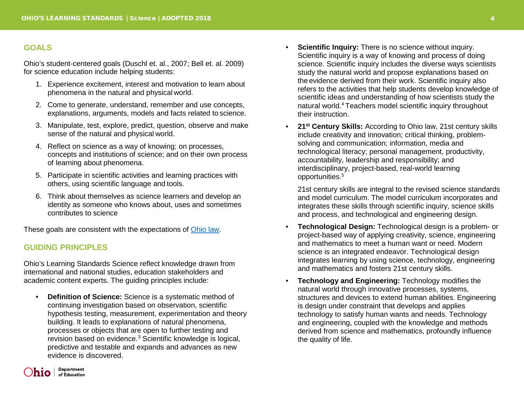#### **GOALS**

Ohio's student-centered goals (Duschl et. al., 2007; Bell et. al. 2009) for science education include helping students:

- 1. Experience excitement, interest and motivation to learn about phenomena in the natural and physical world.
- 2. Come to generate, understand, remember and use concepts, explanations, arguments, models and facts related to science.
- 3. Manipulate, test, explore, predict, question, observe and make sense of the natural and physical world.
- 4. Reflect on science as a way of knowing; on processes, concepts and institutions of science; and on their own process of learning about phenomena.
- 5. Participate in scientific activities and learning practices with others, using scientific language and tools.
- 6. Think about themselves as science learners and develop an identity as someone who knows about, uses and sometimes contributes to science

These goals are consistent with the expectations of [Ohio law.](http://codes.ohio.gov/orc/3301.079)

#### **GUIDING PRINCIPLES**

Ohio's Learning Standards Science reflect knowledge drawn from international and national studies, education stakeholders and academic content experts. The guiding principles include:

• **Definition of Science:** Science is a systematic method of continuing investigation based on observation, scientific hypothesis testing, measurement, experimentation and theory building. It leads to explanations of natural phenomena, processes or objects that are open to further testing and revision based on evidence.<sup>3</sup> Scientific knowledge is logical, predictive and testable and expands and advances as new evidence is discovered.

- **Scientific Inquiry:** There is no science without inquiry. Scientific inquiry is a way of knowing and process of doing science. Scientific inquiry includes the diverse ways scientists study the natural world and propose explanations based on the evidence derived from their work. Scientific inquiry also refers to the activities that help students develop knowledge of scientific ideas and understanding of how scientists study the natural world.4 Teachers model scientific inquiry throughout their instruction.
- **21st Century Skills:** According to Ohio law, 21st century skills include creativity and innovation; critical thinking, problemsolving and communication; information, media and technological literacy; personal management, productivity, accountability, leadership and responsibility; and interdisciplinary, project-based, real-world learning opportunities.5

21st century skills are integral to the revised science standards and model curriculum. The model curriculum incorporates and integrates these skills through scientific inquiry, science skills and process, and technological and engineering design.

- **Technological Design:** Technological design is a problem- or project-based way of applying creativity, science, engineering and mathematics to meet a human want or need. Modern science is an integrated endeavor. Technological design integrates learning by using science, technology, engineering and mathematics and fosters 21st century skills.
- **Technology and Engineering:** Technology modifies the natural world through innovative processes, systems, structures and devices to extend human abilities. Engineering is design under constraint that develops and applies technology to satisfy human wants and needs. Technology and engineering, coupled with the knowledge and methods derived from science and mathematics, profoundly influence the quality of life.

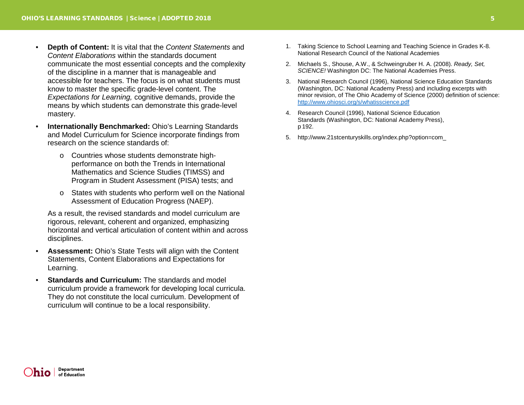- **Depth of Content:** It is vital that the *Content Statements* and *Content Elaborations* within the standards document communicate the most essential concepts and the complexity of the discipline in a manner that is manageable and accessible for teachers. The focus is on what students must know to master the specific grade-level content. The *Expectations for Learning,* cognitive demands, provide the means by which students can demonstrate this grade-level mastery.
- **Internationally Benchmarked:** Ohio's Learning Standards and Model Curriculum for Science incorporate findings from research on the science standards of:
	- o Countries whose students demonstrate highperformance on both the Trends in International Mathematics and Science Studies (TIMSS) and Program in Student Assessment (PISA) tests; and
	- o States with students who perform well on the National Assessment of Education Progress (NAEP).

As a result, the revised standards and model curriculum are rigorous, relevant, coherent and organized, emphasizing horizontal and vertical articulation of content within and across disciplines.

- **Assessment:** Ohio's State Tests will align with the Content Statements, Content Elaborations and Expectations for Learning.
- **Standards and Curriculum:** The standards and model curriculum provide a framework for developing local curricula. They do not constitute the local curriculum. Development of curriculum will continue to be a local responsibility.
- 1. Taking Science to School Learning and Teaching Science in Grades K-8. National Research Council of the National Academies
- 2. Michaels S., Shouse, A.W., & Schweingruber H. A. (2008). *Ready, Set, SCIENCE!* Washington DC: The National Academies Press.
- 3. National Research Council (1996), National Science Education Standards (Washington, DC: National Academy Press) and including excerpts with minor revision, of The Ohio Academy of Science (2000) definition of science: <http://www.ohiosci.org/s/whatisscience.pdf>
- 4. Research Council (1996), National Science Education Standards (Washington, DC: National Academy Press), p 192.
- 5. [http://www.21stcenturyskills.org/index.php?option=com\\_](http://www.21stcenturyskills.org/index.php?option=com_)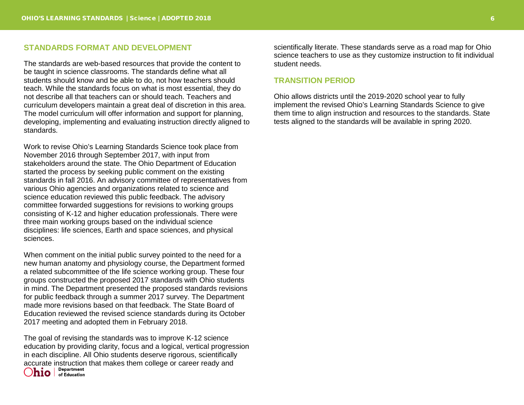#### **STANDARDS FORMAT AND DEVELOPMENT**

The standards are web-based resources that provide the content to be taught in science classrooms. The standards define what all students should know and be able to do, not how teachers should teach. While the standards focus on what is most essential, they do not describe all that teachers can or should teach. Teachers and curriculum developers maintain a great deal of discretion in this area. The model curriculum will offer information and support for planning, developing, implementing and evaluating instruction directly aligned to standards.

Work to revise Ohio's Learning Standards Science took place from November 2016 through September 2017, with input from stakeholders around the state. The Ohio Department of Education started the process by seeking public comment on the existing standards in fall 2016. An advisory committee of representatives from various Ohio agencies and organizations related to science and science education reviewed this public feedback. The advisory committee forwarded suggestions for revisions to working groups consisting of K-12 and higher education professionals. There were three main working groups based on the individual science disciplines: life sciences, Earth and space sciences, and physical sciences.

When comment on the initial public survey pointed to the need for a new human anatomy and physiology course, the Department formed a related subcommittee of the life science working group. These four groups constructed the proposed 2017 standards with Ohio students in mind. The Department presented the proposed standards revisions for public feedback through a summer 2017 survey. The Department made more revisions based on that feedback. The State Board of Education reviewed the revised science standards during its October 2017 meeting and adopted them in February 2018.

The goal of revising the standards was to improve K-12 science education by providing clarity, focus and a logical, vertical progression in each discipline. All Ohio students deserve rigorous, scientifically accurate instruction that makes them college or career ready and  $\bigcirc$   $\mathbf{ho}$   $\big|$   $\bigcirc$   $\mathbf{ho}$   $\big|$   $\bigcirc$   $\mathbf{rho}$  reducation

scientifically literate. These standards serve as a road map for Ohio science teachers to use as they customize instruction to fit individual student needs.

#### **TRANSITION PERIOD**

Ohio allows districts until the 2019-2020 school year to fully implement the revised Ohio's Learning Standards Science to give them time to align instruction and resources to the standards. State tests aligned to the standards will be available in spring 2020.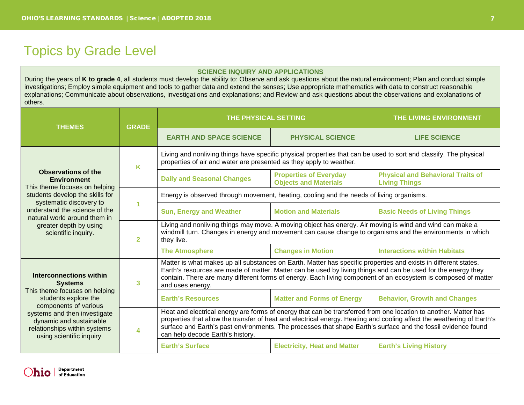## <span id="page-6-0"></span>Topics by Grade Level

#### **SCIENCE INQUIRY AND APPLICATIONS**

During the years of **K to grade 4**, all students must develop the ability to: Observe and ask questions about the natural environment; Plan and conduct simple investigations; Employ simple equipment and tools to gather data and extend the senses; Use appropriate mathematics with data to construct reasonable explanations; Communicate about observations, investigations and explanations; and Review and ask questions about the observations and explanations of others.

| <b>THEMES</b>                                                                                                                                                                                                                                                 | <b>GRADE</b> | THE PHYSICAL SETTING                                                                                                                                                                                                                                                                                                                                                                           |                                                               | THE LIVING ENVIRONMENT                                           |
|---------------------------------------------------------------------------------------------------------------------------------------------------------------------------------------------------------------------------------------------------------------|--------------|------------------------------------------------------------------------------------------------------------------------------------------------------------------------------------------------------------------------------------------------------------------------------------------------------------------------------------------------------------------------------------------------|---------------------------------------------------------------|------------------------------------------------------------------|
|                                                                                                                                                                                                                                                               |              | <b>EARTH AND SPACE SCIENCE</b>                                                                                                                                                                                                                                                                                                                                                                 | <b>PHYSICAL SCIENCE</b>                                       | <b>LIFE SCIENCE</b>                                              |
| <b>Observations of the</b><br><b>Environment</b><br>This theme focuses on helping                                                                                                                                                                             | K            | Living and nonliving things have specific physical properties that can be used to sort and classify. The physical<br>properties of air and water are presented as they apply to weather.                                                                                                                                                                                                       |                                                               |                                                                  |
|                                                                                                                                                                                                                                                               |              | <b>Daily and Seasonal Changes</b>                                                                                                                                                                                                                                                                                                                                                              | <b>Properties of Everyday</b><br><b>Objects and Materials</b> | <b>Physical and Behavioral Traits of</b><br><b>Living Things</b> |
| students develop the skills for                                                                                                                                                                                                                               |              | Energy is observed through movement, heating, cooling and the needs of living organisms.                                                                                                                                                                                                                                                                                                       |                                                               |                                                                  |
| systematic discovery to<br>understand the science of the<br>natural world around them in<br>greater depth by using<br>scientific inquiry.<br>$\overline{2}$                                                                                                   |              | <b>Sun, Energy and Weather</b>                                                                                                                                                                                                                                                                                                                                                                 | <b>Motion and Materials</b>                                   | <b>Basic Needs of Living Things</b>                              |
|                                                                                                                                                                                                                                                               |              | Living and nonliving things may move. A moving object has energy. Air moving is wind and wind can make a<br>windmill turn. Changes in energy and movement can cause change to organisms and the environments in which<br>they live.                                                                                                                                                            |                                                               |                                                                  |
|                                                                                                                                                                                                                                                               |              | <b>The Atmosphere</b>                                                                                                                                                                                                                                                                                                                                                                          | <b>Changes in Motion</b>                                      | <b>Interactions within Habitats</b>                              |
| Interconnections within<br>3<br><b>Systems</b><br>This theme focuses on helping<br>students explore the<br>components of various<br>systems and then investigate<br>dynamic and sustainable<br>relationships within systems<br>4<br>using scientific inquiry. |              | Matter is what makes up all substances on Earth. Matter has specific properties and exists in different states.<br>Earth's resources are made of matter. Matter can be used by living things and can be used for the energy they<br>contain. There are many different forms of energy. Each living component of an ecosystem is composed of matter<br>and uses energy.                         |                                                               |                                                                  |
|                                                                                                                                                                                                                                                               |              | <b>Earth's Resources</b>                                                                                                                                                                                                                                                                                                                                                                       | <b>Matter and Forms of Energy</b>                             | <b>Behavior, Growth and Changes</b>                              |
|                                                                                                                                                                                                                                                               |              | Heat and electrical energy are forms of energy that can be transferred from one location to another. Matter has<br>properties that allow the transfer of heat and electrical energy. Heating and cooling affect the weathering of Earth's<br>surface and Earth's past environments. The processes that shape Earth's surface and the fossil evidence found<br>can help decode Earth's history. |                                                               |                                                                  |
|                                                                                                                                                                                                                                                               |              | <b>Earth's Surface</b>                                                                                                                                                                                                                                                                                                                                                                         | <b>Electricity, Heat and Matter</b>                           | <b>Earth's Living History</b>                                    |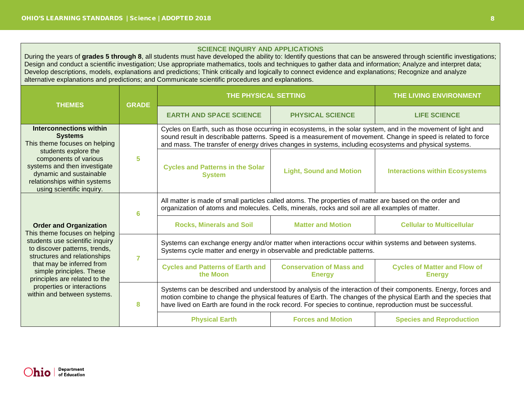#### **SCIENCE INQUIRY AND APPLICATIONS**

During the years of **grades 5 through 8**, all students must have developed the ability to: Identify questions that can be answered through scientific investigations; Design and conduct a scientific investigation; Use appropriate mathematics, tools and techniques to gather data and information; Analyze and interpret data; Develop descriptions, models, explanations and predictions; Think critically and logically to connect evidence and explanations; Recognize and analyze alternative explanations and predictions; and Communicate scientific procedures and explanations.

| <b>THEMES</b>                                                                                                                                                                                                                                                     |   | THE PHYSICAL SETTING                                                                                                                                                                                                                                                                                                                             |                                                  | THE LIVING ENVIRONMENT                               |
|-------------------------------------------------------------------------------------------------------------------------------------------------------------------------------------------------------------------------------------------------------------------|---|--------------------------------------------------------------------------------------------------------------------------------------------------------------------------------------------------------------------------------------------------------------------------------------------------------------------------------------------------|--------------------------------------------------|------------------------------------------------------|
| <b>GRADE</b>                                                                                                                                                                                                                                                      |   | <b>EARTH AND SPACE SCIENCE</b>                                                                                                                                                                                                                                                                                                                   | <b>PHYSICAL SCIENCE</b>                          | <b>LIFE SCIENCE</b>                                  |
| <b>Interconnections within</b><br><b>Systems</b><br>This theme focuses on helping                                                                                                                                                                                 |   | Cycles on Earth, such as those occurring in ecosystems, in the solar system, and in the movement of light and<br>sound result in describable patterns. Speed is a measurement of movement. Change in speed is related to force<br>and mass. The transfer of energy drives changes in systems, including ecosystems and physical systems.         |                                                  |                                                      |
| students explore the<br>components of various<br>systems and then investigate<br>dynamic and sustainable<br>relationships within systems<br>using scientific inquiry.                                                                                             | 5 | <b>Cycles and Patterns in the Solar</b><br><b>System</b>                                                                                                                                                                                                                                                                                         | <b>Light, Sound and Motion</b>                   | <b>Interactions within Ecosystems</b>                |
| 6                                                                                                                                                                                                                                                                 |   | All matter is made of small particles called atoms. The properties of matter are based on the order and<br>organization of atoms and molecules. Cells, minerals, rocks and soil are all examples of matter.                                                                                                                                      |                                                  |                                                      |
| <b>Order and Organization</b><br>This theme focuses on helping                                                                                                                                                                                                    |   | <b>Rocks, Minerals and Soil</b>                                                                                                                                                                                                                                                                                                                  | <b>Matter and Motion</b>                         | <b>Cellular to Multicellular</b>                     |
| students use scientific inquiry<br>to discover patterns, trends,<br>structures and relationships<br>7<br>that may be inferred from<br>simple principles. These<br>principles are related to the<br>properties or interactions<br>within and between systems.<br>8 |   | Systems can exchange energy and/or matter when interactions occur within systems and between systems.<br>Systems cycle matter and energy in observable and predictable patterns.                                                                                                                                                                 |                                                  |                                                      |
|                                                                                                                                                                                                                                                                   |   | <b>Cycles and Patterns of Earth and</b><br>the Moon                                                                                                                                                                                                                                                                                              | <b>Conservation of Mass and</b><br><b>Energy</b> | <b>Cycles of Matter and Flow of</b><br><b>Energy</b> |
|                                                                                                                                                                                                                                                                   |   | Systems can be described and understood by analysis of the interaction of their components. Energy, forces and<br>motion combine to change the physical features of Earth. The changes of the physical Earth and the species that<br>have lived on Earth are found in the rock record. For species to continue, reproduction must be successful. |                                                  |                                                      |
|                                                                                                                                                                                                                                                                   |   | <b>Physical Earth</b>                                                                                                                                                                                                                                                                                                                            | <b>Forces and Motion</b>                         | <b>Species and Reproduction</b>                      |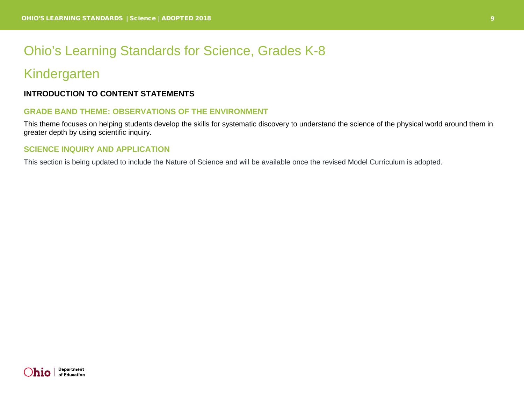## <span id="page-8-0"></span>Ohio's Learning Standards for Science, Grades K-8

### <span id="page-8-1"></span>Kindergarten

#### **INTRODUCTION TO CONTENT STATEMENTS**

#### **GRADE BAND THEME: OBSERVATIONS OF THE ENVIRONMENT**

This theme focuses on helping students develop the skills for systematic discovery to understand the science of the physical world around them in greater depth by using scientific inquiry.

#### **SCIENCE INQUIRY AND APPLICATION**

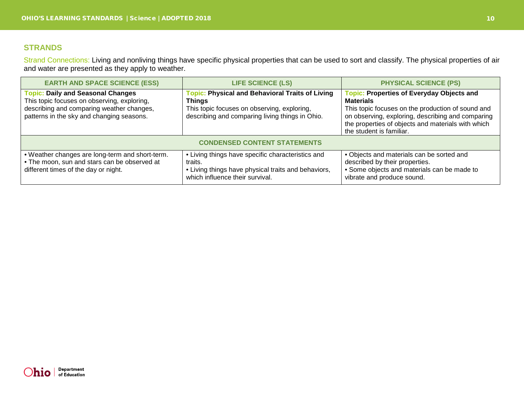Strand Connections: Living and nonliving things have specific physical properties that can be used to sort and classify. The physical properties of air and water are presented as they apply to weather.

| <b>EARTH AND SPACE SCIENCE (ESS)</b>                                                                                                                                              | <b>LIFE SCIENCE (LS)</b>                                                                                                                                                  | <b>PHYSICAL SCIENCE (PS)</b>                                                                                                                                                                                                                                     |  |
|-----------------------------------------------------------------------------------------------------------------------------------------------------------------------------------|---------------------------------------------------------------------------------------------------------------------------------------------------------------------------|------------------------------------------------------------------------------------------------------------------------------------------------------------------------------------------------------------------------------------------------------------------|--|
| <b>Topic: Daily and Seasonal Changes</b><br>This topic focuses on observing, exploring,<br>describing and comparing weather changes,<br>patterns in the sky and changing seasons. | <b>Topic: Physical and Behavioral Traits of Living</b><br><b>Things</b><br>This topic focuses on observing, exploring,<br>describing and comparing living things in Ohio. | <b>Topic: Properties of Everyday Objects and</b><br><b>Materials</b><br>This topic focuses on the production of sound and<br>on observing, exploring, describing and comparing<br>the properties of objects and materials with which<br>the student is familiar. |  |
| <b>CONDENSED CONTENT STATEMENTS</b>                                                                                                                                               |                                                                                                                                                                           |                                                                                                                                                                                                                                                                  |  |
| • Weather changes are long-term and short-term.<br>• The moon, sun and stars can be observed at<br>different times of the day or night.                                           | • Living things have specific characteristics and<br>traits.<br>• Living things have physical traits and behaviors,<br>which influence their survival.                    | • Objects and materials can be sorted and<br>described by their properties.<br>• Some objects and materials can be made to<br>vibrate and produce sound.                                                                                                         |  |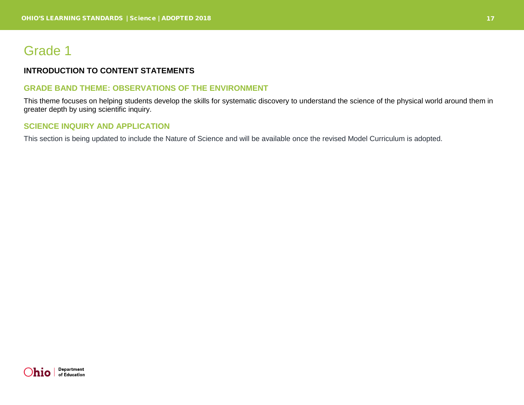## <span id="page-16-0"></span>Grade 1

#### **INTRODUCTION TO CONTENT STATEMENTS**

#### **GRADE BAND THEME: OBSERVATIONS OF THE ENVIRONMENT**

This theme focuses on helping students develop the skills for systematic discovery to understand the science of the physical world around them in greater depth by using scientific inquiry.

#### **SCIENCE INQUIRY AND APPLICATION**

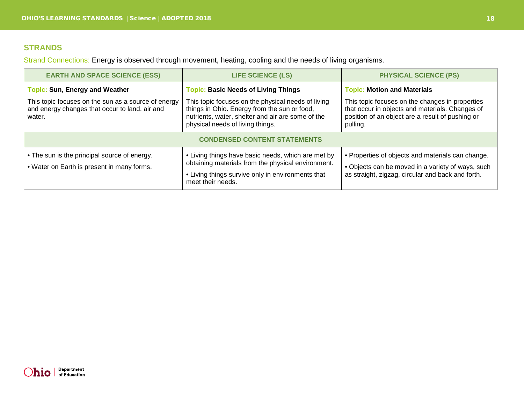Strand Connections: Energy is observed through movement, heating, cooling and the needs of living organisms.

| <b>EARTH AND SPACE SCIENCE (ESS)</b>                                                                                                                     | <b>LIFE SCIENCE (LS)</b>                                                                                                                                                                                                                  | <b>PHYSICAL SCIENCE (PS)</b>                                                                                                                                                                             |  |  |
|----------------------------------------------------------------------------------------------------------------------------------------------------------|-------------------------------------------------------------------------------------------------------------------------------------------------------------------------------------------------------------------------------------------|----------------------------------------------------------------------------------------------------------------------------------------------------------------------------------------------------------|--|--|
| <b>Topic: Sun, Energy and Weather</b><br>This topic focuses on the sun as a source of energy<br>and energy changes that occur to land, air and<br>water. | <b>Topic: Basic Needs of Living Things</b><br>This topic focuses on the physical needs of living<br>things in Ohio. Energy from the sun or food,<br>nutrients, water, shelter and air are some of the<br>physical needs of living things. | <b>Topic: Motion and Materials</b><br>This topic focuses on the changes in properties<br>that occur in objects and materials. Changes of<br>position of an object are a result of pushing or<br>pulling. |  |  |
| <b>CONDENSED CONTENT STATEMENTS</b>                                                                                                                      |                                                                                                                                                                                                                                           |                                                                                                                                                                                                          |  |  |
| • The sun is the principal source of energy.<br>• Water on Earth is present in many forms.                                                               | • Living things have basic needs, which are met by<br>obtaining materials from the physical environment.<br>• Living things survive only in environments that<br>meet their needs.                                                        | • Properties of objects and materials can change.<br>• Objects can be moved in a variety of ways, such<br>as straight, zigzag, circular and back and forth.                                              |  |  |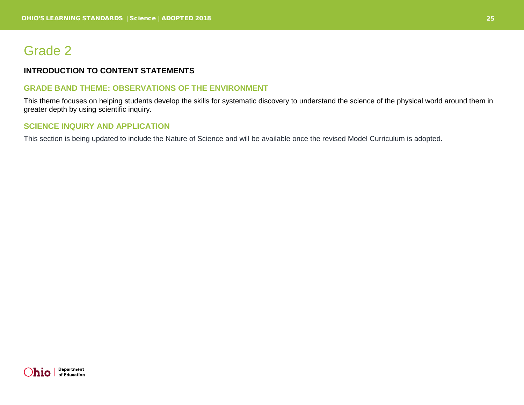## <span id="page-24-0"></span>Grade 2

#### **INTRODUCTION TO CONTENT STATEMENTS**

#### **GRADE BAND THEME: OBSERVATIONS OF THE ENVIRONMENT**

This theme focuses on helping students develop the skills for systematic discovery to understand the science of the physical world around them in greater depth by using scientific inquiry.

#### **SCIENCE INQUIRY AND APPLICATION**

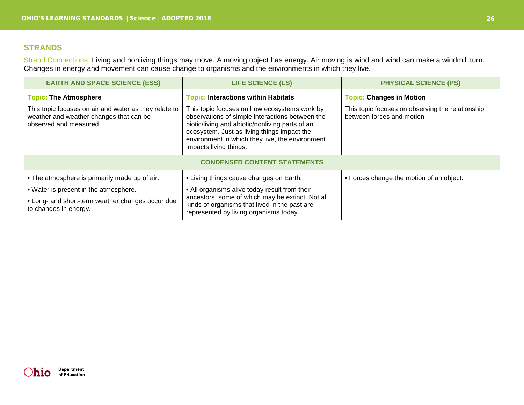Strand Connections: Living and nonliving things may move. A moving object has energy. Air moving is wind and wind can make a windmill turn. Changes in energy and movement can cause change to organisms and the environments in which they live.

| <b>EARTH AND SPACE SCIENCE (ESS)</b>                                                                                                                                | <b>LIFE SCIENCE (LS)</b>                                                                                                                                                                                                                                                       | <b>PHYSICAL SCIENCE (PS)</b>                                                   |  |  |
|---------------------------------------------------------------------------------------------------------------------------------------------------------------------|--------------------------------------------------------------------------------------------------------------------------------------------------------------------------------------------------------------------------------------------------------------------------------|--------------------------------------------------------------------------------|--|--|
| <b>Topic: The Atmosphere</b>                                                                                                                                        | <b>Topic: Interactions within Habitats</b>                                                                                                                                                                                                                                     | <b>Topic: Changes in Motion</b>                                                |  |  |
| This topic focuses on air and water as they relate to<br>weather and weather changes that can be<br>observed and measured.                                          | This topic focuses on how ecosystems work by<br>observations of simple interactions between the<br>biotic/living and abiotic/nonliving parts of an<br>ecosystem. Just as living things impact the<br>environment in which they live, the environment<br>impacts living things. | This topic focuses on observing the relationship<br>between forces and motion. |  |  |
| <b>CONDENSED CONTENT STATEMENTS</b>                                                                                                                                 |                                                                                                                                                                                                                                                                                |                                                                                |  |  |
| • The atmosphere is primarily made up of air.<br>• Water is present in the atmosphere.<br>• Long- and short-term weather changes occur due<br>to changes in energy. | • Living things cause changes on Earth.<br>• All organisms alive today result from their<br>ancestors, some of which may be extinct. Not all<br>kinds of organisms that lived in the past are<br>represented by living organisms today.                                        | • Forces change the motion of an object.                                       |  |  |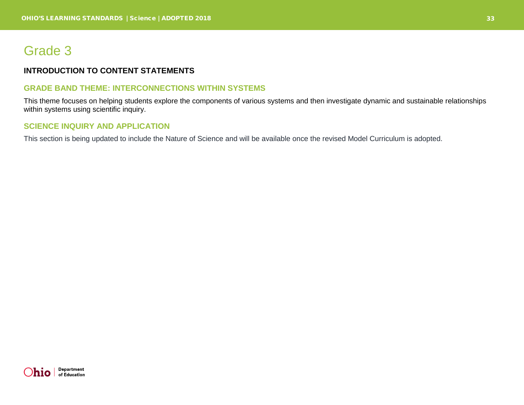## <span id="page-32-0"></span>Grade 3

#### **INTRODUCTION TO CONTENT STATEMENTS**

#### **GRADE BAND THEME: INTERCONNECTIONS WITHIN SYSTEMS**

This theme focuses on helping students explore the components of various systems and then investigate dynamic and sustainable relationships within systems using scientific inquiry.

#### **SCIENCE INQUIRY AND APPLICATION**

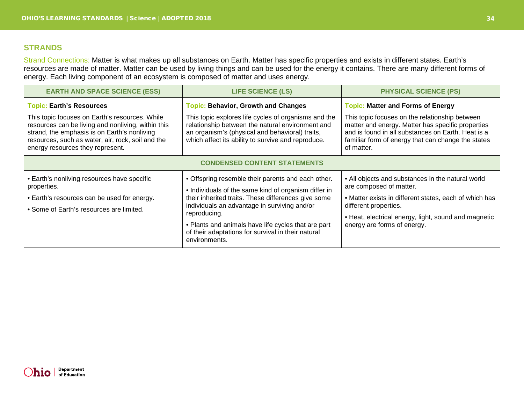Strand Connections: Matter is what makes up all substances on Earth. Matter has specific properties and exists in different states. Earth's resources are made of matter. Matter can be used by living things and can be used for the energy it contains. There are many different forms of energy. Each living component of an ecosystem is composed of matter and uses energy.

| <b>EARTH AND SPACE SCIENCE (ESS)</b>                                                                                                                                                                                                                                             | <b>LIFE SCIENCE (LS)</b>                                                                                                                                                                                                                                                                                                                                        | <b>PHYSICAL SCIENCE (PS)</b>                                                                                                                                                                                                                                              |  |
|----------------------------------------------------------------------------------------------------------------------------------------------------------------------------------------------------------------------------------------------------------------------------------|-----------------------------------------------------------------------------------------------------------------------------------------------------------------------------------------------------------------------------------------------------------------------------------------------------------------------------------------------------------------|---------------------------------------------------------------------------------------------------------------------------------------------------------------------------------------------------------------------------------------------------------------------------|--|
| <b>Topic: Earth's Resources</b><br>This topic focuses on Earth's resources. While<br>resources can be living and nonliving, within this<br>strand, the emphasis is on Earth's nonliving<br>resources, such as water, air, rock, soil and the<br>energy resources they represent. | <b>Topic: Behavior, Growth and Changes</b><br>This topic explores life cycles of organisms and the<br>relationship between the natural environment and<br>an organism's (physical and behavioral) traits,<br>which affect its ability to survive and reproduce.                                                                                                 | <b>Topic: Matter and Forms of Energy</b><br>This topic focuses on the relationship between<br>matter and energy. Matter has specific properties<br>and is found in all substances on Earth. Heat is a<br>familiar form of energy that can change the states<br>of matter. |  |
| <b>CONDENSED CONTENT STATEMENTS</b>                                                                                                                                                                                                                                              |                                                                                                                                                                                                                                                                                                                                                                 |                                                                                                                                                                                                                                                                           |  |
| • Earth's nonliving resources have specific<br>properties.<br>• Earth's resources can be used for energy.<br>• Some of Earth's resources are limited.                                                                                                                            | • Offspring resemble their parents and each other.<br>• Individuals of the same kind of organism differ in<br>their inherited traits. These differences give some<br>individuals an advantage in surviving and/or<br>reproducing.<br>• Plants and animals have life cycles that are part<br>of their adaptations for survival in their natural<br>environments. | • All objects and substances in the natural world<br>are composed of matter.<br>• Matter exists in different states, each of which has<br>different properties.<br>• Heat, electrical energy, light, sound and magnetic<br>energy are forms of energy.                    |  |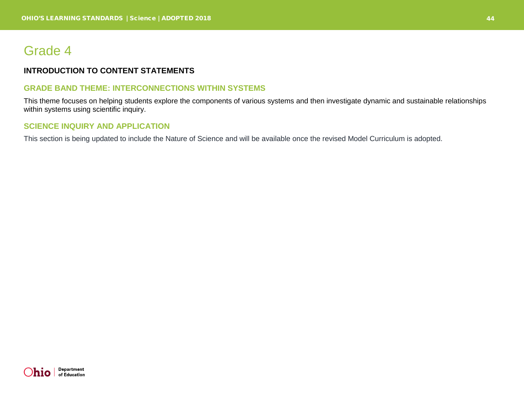# Grade 4

## **INTRODUCTION TO CONTENT STATEMENTS**

#### **GRADE BAND THEME: INTERCONNECTIONS WITHIN SYSTEMS**

This theme focuses on helping students explore the components of various systems and then investigate dynamic and sustainable relationships within systems using scientific inquiry.

### **SCIENCE INQUIRY AND APPLICATION**

This section is being updated to include the Nature of Science and will be available once the revised Model Curriculum is adopted.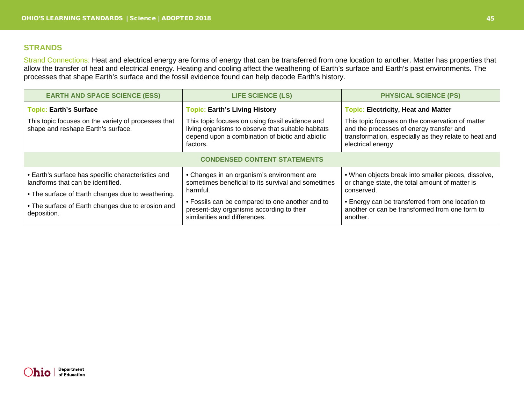#### **STRANDS**

Strand Connections: Heat and electrical energy are forms of energy that can be transferred from one location to another. Matter has properties that allow the transfer of heat and electrical energy. Heating and cooling affect the weathering of Earth's surface and Earth's past environments. The processes that shape Earth's surface and the fossil evidence found can help decode Earth's history.

| <b>EARTH AND SPACE SCIENCE (ESS)</b>                                                      | <b>LIFE SCIENCE (LS)</b>                                                                                                                                             | <b>PHYSICAL SCIENCE (PS)</b>                                                                                                                                               |  |
|-------------------------------------------------------------------------------------------|----------------------------------------------------------------------------------------------------------------------------------------------------------------------|----------------------------------------------------------------------------------------------------------------------------------------------------------------------------|--|
| <b>Topic: Earth's Surface</b>                                                             | <b>Topic: Earth's Living History</b>                                                                                                                                 | <b>Topic: Electricity, Heat and Matter</b>                                                                                                                                 |  |
| This topic focuses on the variety of processes that<br>shape and reshape Earth's surface. | This topic focuses on using fossil evidence and<br>living organisms to observe that suitable habitats<br>depend upon a combination of biotic and abiotic<br>factors. | This topic focuses on the conservation of matter<br>and the processes of energy transfer and<br>transformation, especially as they relate to heat and<br>electrical energy |  |
| <b>CONDENSED CONTENT STATEMENTS</b>                                                       |                                                                                                                                                                      |                                                                                                                                                                            |  |
| • Earth's surface has specific characteristics and<br>landforms that can be identified.   | • Changes in an organism's environment are<br>sometimes beneficial to its survival and sometimes<br>harmful.                                                         | . When objects break into smaller pieces, dissolve,<br>or change state, the total amount of matter is<br>conserved.                                                        |  |
| • The surface of Earth changes due to weathering.                                         |                                                                                                                                                                      |                                                                                                                                                                            |  |
| • The surface of Earth changes due to erosion and<br>deposition.                          | • Fossils can be compared to one another and to<br>present-day organisms according to their<br>similarities and differences.                                         | • Energy can be transferred from one location to<br>another or can be transformed from one form to<br>another.                                                             |  |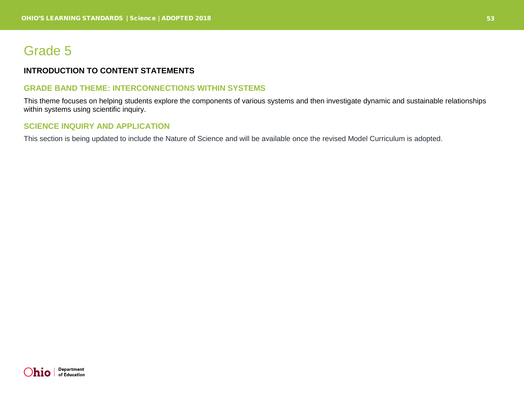# Grade 5

## **INTRODUCTION TO CONTENT STATEMENTS**

#### **GRADE BAND THEME: INTERCONNECTIONS WITHIN SYSTEMS**

This theme focuses on helping students explore the components of various systems and then investigate dynamic and sustainable relationships within systems using scientific inquiry.

### **SCIENCE INQUIRY AND APPLICATION**

This section is being updated to include the Nature of Science and will be available once the revised Model Curriculum is adopted.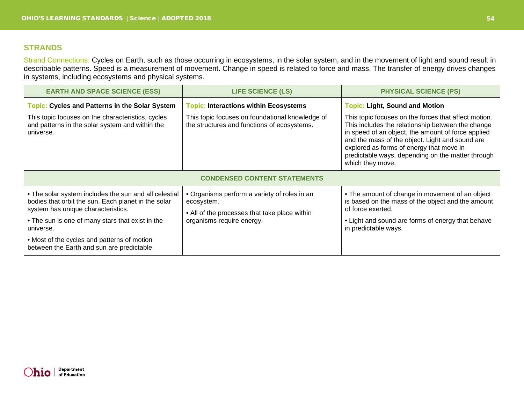### **STRANDS**

Strand Connections: Cycles on Earth, such as those occurring in ecosystems, in the solar system, and in the movement of light and sound result in describable patterns. Speed is a measurement of movement. Change in speed is related to force and mass. The transfer of energy drives changes in systems, including ecosystems and physical systems.

| <b>EARTH AND SPACE SCIENCE (ESS)</b>                                                                                                                                                                                | <b>LIFE SCIENCE (LS)</b>                                                                                                                       | <b>PHYSICAL SCIENCE (PS)</b>                                                                                                                                                                                                                                                                                                                                                     |  |  |
|---------------------------------------------------------------------------------------------------------------------------------------------------------------------------------------------------------------------|------------------------------------------------------------------------------------------------------------------------------------------------|----------------------------------------------------------------------------------------------------------------------------------------------------------------------------------------------------------------------------------------------------------------------------------------------------------------------------------------------------------------------------------|--|--|
| <b>Topic: Cycles and Patterns in the Solar System</b><br>This topic focuses on the characteristics, cycles<br>and patterns in the solar system and within the<br>universe.                                          | <b>Topic: Interactions within Ecosystems</b><br>This topic focuses on foundational knowledge of<br>the structures and functions of ecosystems. | <b>Topic: Light, Sound and Motion</b><br>This topic focuses on the forces that affect motion.<br>This includes the relationship between the change<br>in speed of an object, the amount of force applied<br>and the mass of the object. Light and sound are<br>explored as forms of energy that move in<br>predictable ways, depending on the matter through<br>which they move. |  |  |
| <b>CONDENSED CONTENT STATEMENTS</b>                                                                                                                                                                                 |                                                                                                                                                |                                                                                                                                                                                                                                                                                                                                                                                  |  |  |
| • The solar system includes the sun and all celestial<br>bodies that orbit the sun. Each planet in the solar<br>system has unique characteristics.<br>• The sun is one of many stars that exist in the<br>universe. | • Organisms perform a variety of roles in an<br>ecosystem.<br>• All of the processes that take place within<br>organisms require energy.       | • The amount of change in movement of an object<br>is based on the mass of the object and the amount<br>of force exerted.<br>• Light and sound are forms of energy that behave<br>in predictable ways.                                                                                                                                                                           |  |  |
| • Most of the cycles and patterns of motion<br>between the Earth and sun are predictable.                                                                                                                           |                                                                                                                                                |                                                                                                                                                                                                                                                                                                                                                                                  |  |  |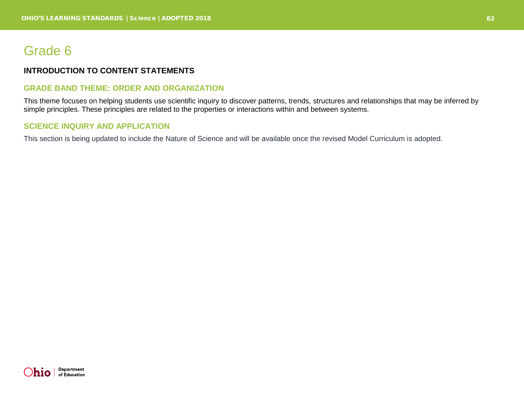# Grade 6

## **INTRODUCTION TO CONTENT STATEMENTS**

#### **GRADE BAND THEME: ORDER AND ORGANIZATION**

This theme focuses on helping students use scientific inquiry to discover patterns, trends, structures and relationships that may be inferred by simple principles. These principles are related to the properties or interactions within and between systems.

### **SCIENCE INQUIRY AND APPLICATION**

This section is being updated to include the Nature of Science and will be available once the revised Model Curriculum is adopted.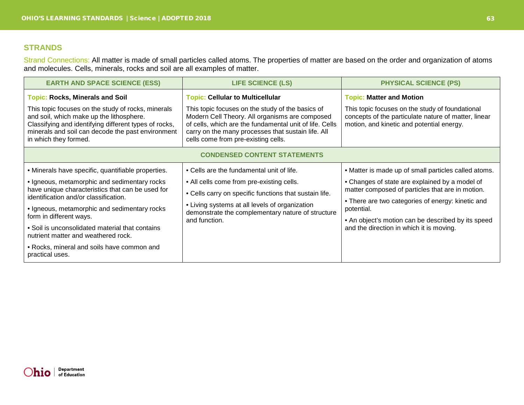### **STRANDS**

Strand Connections: All matter is made of small particles called atoms. The properties of matter are based on the order and organization of atoms and molecules. Cells, minerals, rocks and soil are all examples of matter.

| <b>EARTH AND SPACE SCIENCE (ESS)</b>                                                                                                                                                                                                  | <b>LIFE SCIENCE (LS)</b>                                                                                                                                                                                                                                   | <b>PHYSICAL SCIENCE (PS)</b>                                                                                                                         |  |  |
|---------------------------------------------------------------------------------------------------------------------------------------------------------------------------------------------------------------------------------------|------------------------------------------------------------------------------------------------------------------------------------------------------------------------------------------------------------------------------------------------------------|------------------------------------------------------------------------------------------------------------------------------------------------------|--|--|
| <b>Topic: Rocks, Minerals and Soil</b>                                                                                                                                                                                                | <b>Topic: Cellular to Multicellular</b>                                                                                                                                                                                                                    | <b>Topic: Matter and Motion</b>                                                                                                                      |  |  |
| This topic focuses on the study of rocks, minerals<br>and soil, which make up the lithosphere.<br>Classifying and identifying different types of rocks,<br>minerals and soil can decode the past environment<br>in which they formed. | This topic focuses on the study of the basics of<br>Modern Cell Theory. All organisms are composed<br>of cells, which are the fundamental unit of life. Cells<br>carry on the many processes that sustain life. All<br>cells come from pre-existing cells. | This topic focuses on the study of foundational<br>concepts of the particulate nature of matter, linear<br>motion, and kinetic and potential energy. |  |  |
| <b>CONDENSED CONTENT STATEMENTS</b>                                                                                                                                                                                                   |                                                                                                                                                                                                                                                            |                                                                                                                                                      |  |  |
| • Minerals have specific, quantifiable properties.                                                                                                                                                                                    | • Cells are the fundamental unit of life.                                                                                                                                                                                                                  | • Matter is made up of small particles called atoms.                                                                                                 |  |  |
| · Igneous, metamorphic and sedimentary rocks<br>have unique characteristics that can be used for                                                                                                                                      | • All cells come from pre-existing cells.<br>• Cells carry on specific functions that sustain life.<br>• Living systems at all levels of organization<br>demonstrate the complementary nature of structure<br>and function.                                | • Changes of state are explained by a model of<br>matter composed of particles that are in motion.                                                   |  |  |
| identification and/or classification.                                                                                                                                                                                                 |                                                                                                                                                                                                                                                            | • There are two categories of energy: kinetic and                                                                                                    |  |  |
| • Igneous, metamorphic and sedimentary rocks<br>form in different ways.                                                                                                                                                               |                                                                                                                                                                                                                                                            | potential.                                                                                                                                           |  |  |
| • Soil is unconsolidated material that contains<br>nutrient matter and weathered rock.                                                                                                                                                |                                                                                                                                                                                                                                                            | • An object's motion can be described by its speed<br>and the direction in which it is moving.                                                       |  |  |
| • Rocks, mineral and soils have common and<br>practical uses.                                                                                                                                                                         |                                                                                                                                                                                                                                                            |                                                                                                                                                      |  |  |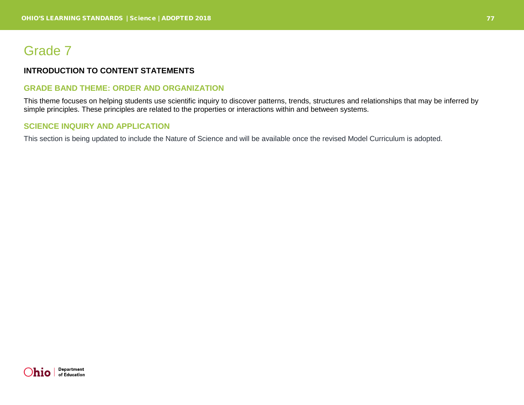# Grade 7

## **INTRODUCTION TO CONTENT STATEMENTS**

## **GRADE BAND THEME: ORDER AND ORGANIZATION**

This theme focuses on helping students use scientific inquiry to discover patterns, trends, structures and relationships that may be inferred by simple principles. These principles are related to the properties or interactions within and between systems.

## **SCIENCE INQUIRY AND APPLICATION**

This section is being updated to include the Nature of Science and will be available once the revised Model Curriculum is adopted.

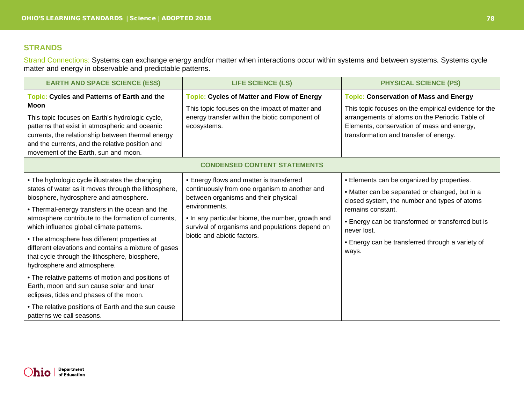## **STRANDS**

Strand Connections: Systems can exchange energy and/or matter when interactions occur within systems and between systems. Systems cycle matter and energy in observable and predictable patterns.

| <b>EARTH AND SPACE SCIENCE (ESS)</b>                                                                                                                                                                                                                                                                                                                                                                                                                                                                                                                                                                                                                                                                  | <b>LIFE SCIENCE (LS)</b>                                                                                                                                                                                                                                                                  | <b>PHYSICAL SCIENCE (PS)</b>                                                                                                                                                                                                                                                                       |  |
|-------------------------------------------------------------------------------------------------------------------------------------------------------------------------------------------------------------------------------------------------------------------------------------------------------------------------------------------------------------------------------------------------------------------------------------------------------------------------------------------------------------------------------------------------------------------------------------------------------------------------------------------------------------------------------------------------------|-------------------------------------------------------------------------------------------------------------------------------------------------------------------------------------------------------------------------------------------------------------------------------------------|----------------------------------------------------------------------------------------------------------------------------------------------------------------------------------------------------------------------------------------------------------------------------------------------------|--|
| <b>Topic: Cycles and Patterns of Earth and the</b><br><b>Moon</b><br>This topic focuses on Earth's hydrologic cycle,<br>patterns that exist in atmospheric and oceanic<br>currents, the relationship between thermal energy<br>and the currents, and the relative position and<br>movement of the Earth, sun and moon.                                                                                                                                                                                                                                                                                                                                                                                | <b>Topic: Cycles of Matter and Flow of Energy</b><br>This topic focuses on the impact of matter and<br>energy transfer within the biotic component of<br>ecosystems.                                                                                                                      | <b>Topic: Conservation of Mass and Energy</b><br>This topic focuses on the empirical evidence for the<br>arrangements of atoms on the Periodic Table of<br>Elements, conservation of mass and energy,<br>transformation and transfer of energy.                                                    |  |
| <b>CONDENSED CONTENT STATEMENTS</b>                                                                                                                                                                                                                                                                                                                                                                                                                                                                                                                                                                                                                                                                   |                                                                                                                                                                                                                                                                                           |                                                                                                                                                                                                                                                                                                    |  |
| • The hydrologic cycle illustrates the changing<br>states of water as it moves through the lithosphere,<br>biosphere, hydrosphere and atmosphere.<br>. Thermal-energy transfers in the ocean and the<br>atmosphere contribute to the formation of currents,<br>which influence global climate patterns.<br>• The atmosphere has different properties at<br>different elevations and contains a mixture of gases<br>that cycle through the lithosphere, biosphere,<br>hydrosphere and atmosphere.<br>• The relative patterns of motion and positions of<br>Earth, moon and sun cause solar and lunar<br>eclipses, tides and phases of the moon.<br>• The relative positions of Earth and the sun cause | • Energy flows and matter is transferred<br>continuously from one organism to another and<br>between organisms and their physical<br>environments.<br>• In any particular biome, the number, growth and<br>survival of organisms and populations depend on<br>biotic and abiotic factors. | • Elements can be organized by properties.<br>• Matter can be separated or changed, but in a<br>closed system, the number and types of atoms<br>remains constant.<br>• Energy can be transformed or transferred but is<br>never lost.<br>• Energy can be transferred through a variety of<br>ways. |  |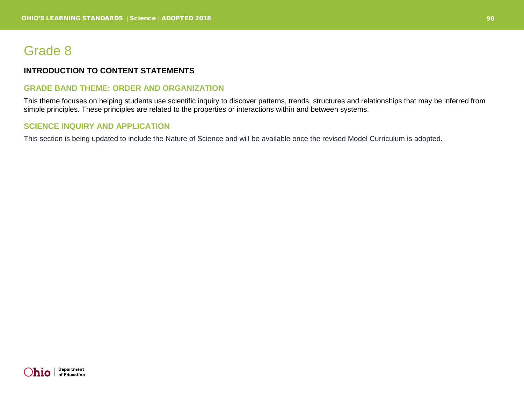# Grade 8

## **INTRODUCTION TO CONTENT STATEMENTS**

#### **GRADE BAND THEME: ORDER AND ORGANIZATION**

This theme focuses on helping students use scientific inquiry to discover patterns, trends, structures and relationships that may be inferred from simple principles. These principles are related to the properties or interactions within and between systems.

## **SCIENCE INQUIRY AND APPLICATION**

This section is being updated to include the Nature of Science and will be available once the revised Model Curriculum is adopted.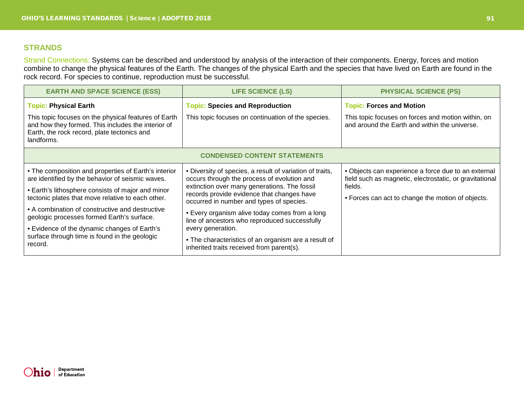## **STRANDS**

Strand Connections: Systems can be described and understood by analysis of the interaction of their components. Energy, forces and motion combine to change the physical features of the Earth. The changes of the physical Earth and the species that have lived on Earth are found in the rock record. For species to continue, reproduction must be successful.

| <b>EARTH AND SPACE SCIENCE (ESS)</b>                                                                                                                                                                                                                                                                                                                                                                                            | <b>LIFE SCIENCE (LS)</b>                                                                                                                                                                                                                                                                                                                                                                                                                                                       | <b>PHYSICAL SCIENCE (PS)</b>                                                                                                                                                   |  |
|---------------------------------------------------------------------------------------------------------------------------------------------------------------------------------------------------------------------------------------------------------------------------------------------------------------------------------------------------------------------------------------------------------------------------------|--------------------------------------------------------------------------------------------------------------------------------------------------------------------------------------------------------------------------------------------------------------------------------------------------------------------------------------------------------------------------------------------------------------------------------------------------------------------------------|--------------------------------------------------------------------------------------------------------------------------------------------------------------------------------|--|
| <b>Topic: Physical Earth</b><br>This topic focuses on the physical features of Earth<br>and how they formed. This includes the interior of<br>Earth, the rock record, plate tectonics and<br>landforms.                                                                                                                                                                                                                         | <b>Topic: Species and Reproduction</b><br>This topic focuses on continuation of the species.                                                                                                                                                                                                                                                                                                                                                                                   | <b>Topic: Forces and Motion</b><br>This topic focuses on forces and motion within, on<br>and around the Earth and within the universe.                                         |  |
| <b>CONDENSED CONTENT STATEMENTS</b>                                                                                                                                                                                                                                                                                                                                                                                             |                                                                                                                                                                                                                                                                                                                                                                                                                                                                                |                                                                                                                                                                                |  |
| • The composition and properties of Earth's interior<br>are identified by the behavior of seismic waves.<br>• Earth's lithosphere consists of major and minor<br>tectonic plates that move relative to each other.<br>• A combination of constructive and destructive<br>geologic processes formed Earth's surface.<br>• Evidence of the dynamic changes of Earth's<br>surface through time is found in the geologic<br>record. | • Diversity of species, a result of variation of traits,<br>occurs through the process of evolution and<br>extinction over many generations. The fossil<br>records provide evidence that changes have<br>occurred in number and types of species.<br>• Every organism alive today comes from a long<br>line of ancestors who reproduced successfully<br>every generation.<br>• The characteristics of an organism are a result of<br>inherited traits received from parent(s). | • Objects can experience a force due to an external<br>field such as magnetic, electrostatic, or gravitational<br>fields.<br>• Forces can act to change the motion of objects. |  |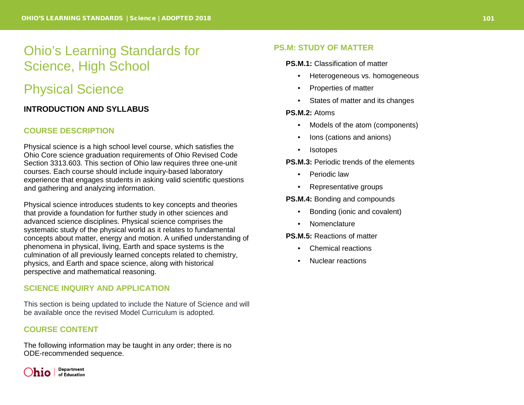# Ohio's Learning Standards for Science, High School

# Physical Science

## **INTRODUCTION AND SYLLABUS**

## **COURSE DESCRIPTION**

Physical science is a high school level course, which satisfies the Ohio Core science graduation requirements of Ohio Revised Code Section 3313.603. This section of Ohio law requires three one-unit courses. Each course should include inquiry-based laboratory experience that engages students in asking valid scientific questions and gathering and analyzing information.

Physical science introduces students to key concepts and theories that provide a foundation for further study in other sciences and advanced science disciplines. Physical science comprises the systematic study of the physical world as it relates to fundamental concepts about matter, energy and motion. A unified understanding of phenomena in physical, living, Earth and space systems is the culmination of all previously learned concepts related to chemistry, physics, and Earth and space science, along with historical perspective and mathematical reasoning.

## **SCIENCE INQUIRY AND APPLICATION**

This section is being updated to include the Nature of Science and will be available once the revised Model Curriculum is adopted.

## **COURSE CONTENT**

The following information may be taught in any order; there is no ODE-recommended sequence.



## **PS.M: STUDY OF MATTER**

**PS.M.1:** Classification of matter

- Heterogeneous vs. homogeneous
- Properties of matter
- States of matter and its changes

**PS.M.2:** Atoms

- Models of the atom (components)
- Ions (cations and anions)
- Isotopes

**PS.M.3:** Periodic trends of the elements

- Periodic law
- Representative groups

**PS.M.4:** Bonding and compounds

- Bonding (ionic and covalent)
- Nomenclature

**PS.M.5:** Reactions of matter

- Chemical reactions
- Nuclear reactions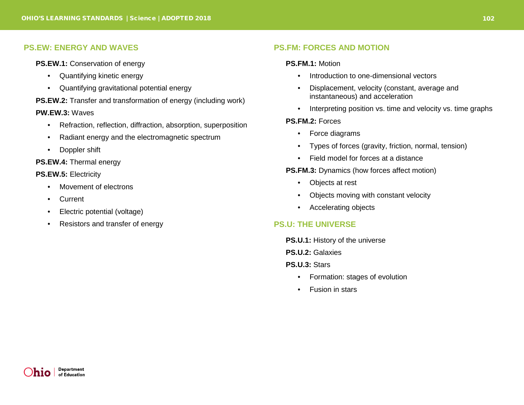#### **PS.EW: ENERGY AND WAVES**

**PS.EW.1: Conservation of energy** 

- Quantifying kinetic energy
- Quantifying gravitational potential energy

#### **PS.EW.2:** Transfer and transformation of energy (including work)

#### **PW.EW.3:** Waves

- Refraction, reflection, diffraction, absorption, superposition
- Radiant energy and the electromagnetic spectrum
- Doppler shift

**PS.EW.4:** Thermal energy

**PS.EW.5:** Electricity

- Movement of electrons
- Current
- Electric potential (voltage)
- Resistors and transfer of energy

#### **PS.FM: FORCES AND MOTION**

#### **PS.FM.1:** Motion

- Introduction to one-dimensional vectors
- Displacement, velocity (constant, average and instantaneous) and acceleration
- Interpreting position vs. time and velocity vs. time graphs

#### **PS.FM.2:** Forces

- Force diagrams
- Types of forces (gravity, friction, normal, tension)
- Field model for forces at a distance

**PS.FM.3:** Dynamics (how forces affect motion)

- Objects at rest
- Objects moving with constant velocity
- Accelerating objects

#### **PS.U: THE UNIVERSE**

**PS.U.1:** History of the universe

**PS.U.2:** Galaxies

#### **PS.U.3:** Stars

- Formation: stages of evolution
- Fusion in stars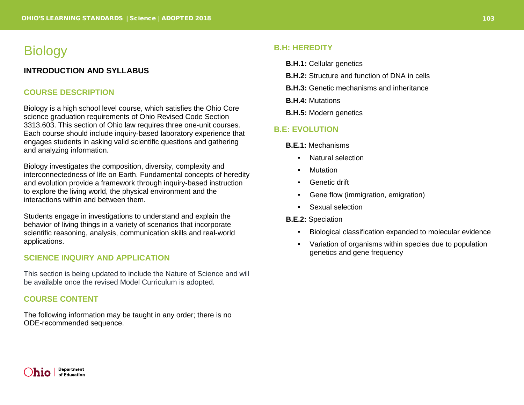## **Biology**

## **INTRODUCTION AND SYLLABUS**

## **COURSE DESCRIPTION**

Biology is a high school level course, which satisfies the Ohio Core science graduation requirements of Ohio Revised Code Section 3313.603. This section of Ohio law requires three one-unit courses. Each course should include inquiry-based laboratory experience that engages students in asking valid scientific questions and gathering and analyzing information.

Biology investigates the composition, diversity, complexity and interconnectedness of life on Earth. Fundamental concepts of heredity and evolution provide a framework through inquiry-based instruction to explore the living world, the physical environment and the interactions within and between them.

Students engage in investigations to understand and explain the behavior of living things in a variety of scenarios that incorporate scientific reasoning, analysis, communication skills and real-world applications.

#### **SCIENCE INQUIRY AND APPLICATION**

This section is being updated to include the Nature of Science and will be available once the revised Model Curriculum is adopted.

#### **COURSE CONTENT**

The following information may be taught in any order; there is no ODE-recommended sequence.

## **B.H: HEREDITY**

- **B.H.1:** Cellular genetics
- **B.H.2:** Structure and function of DNA in cells
- **B.H.3:** Genetic mechanisms and inheritance
- **B.H.4:** Mutations
- **B.H.5:** Modern genetics

#### **B.E: EVOLUTION**

- **B.E.1:** Mechanisms
	- Natural selection
	- Mutation
	- Genetic drift
	- Gene flow (immigration, emigration)
	- Sexual selection

#### **B.E.2:** Speciation

- Biological classification expanded to molecular evidence
- Variation of organisms within species due to population genetics and gene frequency

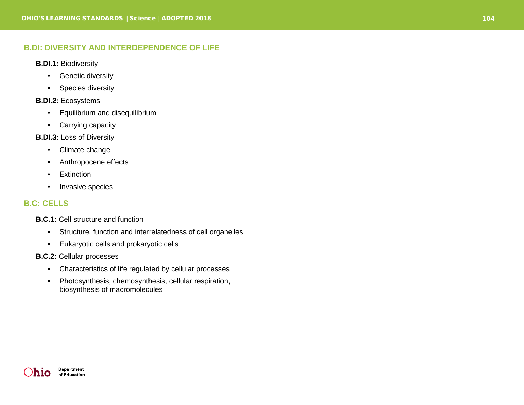## **B.DI: DIVERSITY AND INTERDEPENDENCE OF LIFE**

- **B.DI.1:** Biodiversity
	- Genetic diversity
	- Species diversity

### **B.DI.2:** Ecosystems

- Equilibrium and disequilibrium
- Carrying capacity

### **B.DI.3:** Loss of Diversity

- Climate change
- Anthropocene effects
- Extinction
- Invasive species

## **B.C: CELLS**

**B.C.1 :** Cell structure and function

- Structure, function and interrelatedness of cell organelles
- Eukaryotic cells and prokaryotic cells
- **B.C.2 :** Cellular processes
	- Characteristics of life regulated by cellular processes
	- Photosynthesis, chemosynthesis, cellular respiration, biosynthesis of macromolecule s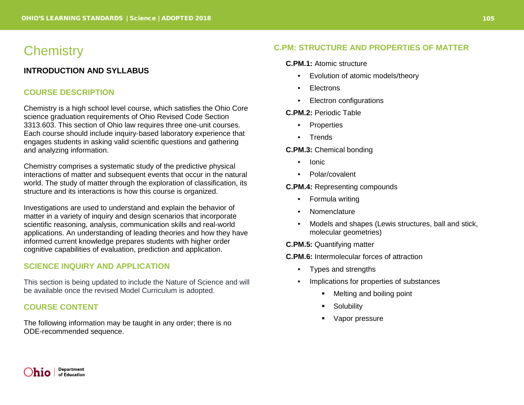## **Chemistry**

## **INTRODUCTION AND SYLLABUS**

### **COURSE DESCRIPTION**

Chemistry is a high school level course, which satisfies the Ohio Core science graduation requirements of Ohio Revised Code Section 3313.603. This section of Ohio law requires three one-unit courses. Each course should include inquiry-based laboratory experience that engages students in asking valid scientific questions and gathering and analyzing information.

Chemistry comprises a systematic study of the predictive physical interactions of matter and subsequent events that occur in the natural world. The study of matter through the exploration of classification, its structure and its interactions is how this course is organized.

Investigations are used to understand and explain the behavior of matter in a variety of inquiry and design scenarios that incorporate scientific reasoning, analysis, communication skills and real-world applications. An understanding of leading theories and how they have informed current knowledge prepares students with higher order cognitive capabilities of evaluation, prediction and application.

## **SCIENCE INQUIRY AND APPLICATION**

This section is being updated to include the Nature of Science and will be available once the revised Model Curriculum is adopted.

### **COURSE CONTENT**

The following information may be taught in any order; there is no ODE-recommended sequence.

## **C.PM: STRUCTURE AND PROPERTIES OF MATTER**

#### **C.PM.1:** Atomic structure

- Evolution of atomic models/theory
- **Electrons**
- Electron configurations

#### **C.PM.2:** Periodic Table

- **Properties**
- **Trends**

#### **C.PM.3:** Chemical bonding

- Ionic
- Polar/covalent

#### **C.PM.4:** Representing compounds

- Formula writing
- Nomenclature
- Models and shapes (Lewis structures, ball and stick, molecular geometries)

**C.PM.5:** Quantifying matter

**C.PM.6:** Intermolecular forces of attraction

- Types and strengths
- Implications for properties of substances
	- Melting and boiling point
	- **Solubility**
	- Vapor pressure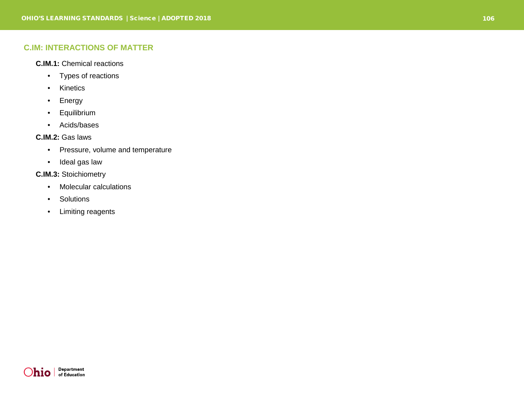## **C.IM: INTERACTIONS OF MATTER**

### **C.IM.1:** Chemical reactions

- Types of reactions
- Kinetics
- Energy
- Equilibrium
- Acids/bases

## **C.IM.2:** Gas laws

- Pressure, volume and temperature
- Ideal gas law

#### **C.IM.3:** Stoichiometry

- Molecular calculations
- Solutions
- Limiting reagents

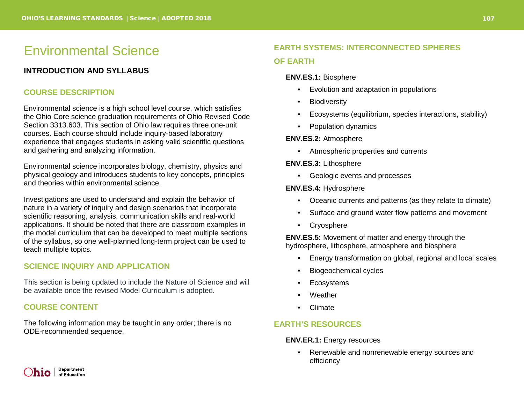# Environmental Science

## **INTRODUCTION AND SYLLABUS**

## **COURSE DESCRIPTION**

Environmental science is a high school level course, which satisfies the Ohio Core science graduation requirements of Ohio Revised Code Section 3313.603. This section of Ohio law requires three one-unit courses. Each course should include inquiry-based laboratory experience that engages students in asking valid scientific questions and gathering and analyzing information.

Environmental science incorporates biology, chemistry, physics and physical geology and introduces students to key concepts, principles and theories within environmental science.

Investigations are used to understand and explain the behavior of nature in a variety of inquiry and design scenarios that incorporate scientific reasoning, analysis, communication skills and real-world applications. It should be noted that there are classroom examples in the model curriculum that can be developed to meet multiple sections of the syllabus, so one well-planned long-term project can be used to teach multiple topics.

## **SCIENCE INQUIRY AND APPLICATION**

This section is being updated to include the Nature of Science and will be available once the revised Model Curriculum is adopted.

### **COURSE CONTENT**

The following information may be taught in any order; there is no ODE-recommended sequence.

## **EARTH SYSTEMS: INTERCONNECTED SPHERES OF EARTH**

#### **ENV.ES.1:** Biosphere

- Evolution and adaptation in populations
- Biodiversity
- Ecosystems (equilibrium, species interactions, stability)
- Population dynamics

#### **ENV.ES.2:** Atmosphere

• Atmospheric properties and currents

#### **ENV.ES.3:** Lithosphere

• Geologic events and processes

#### **ENV.ES.4:** Hydrosphere

- Oceanic currents and patterns (as they relate to climate)
- Surface and ground water flow patterns and movement
- Cryosphere

**ENV.ES.5:** Movement of matter and energy through the hydrosphere, lithosphere, atmosphere and biosphere

- Energy transformation on global, regional and local scales
- Biogeochemical cycles
- **Ecosystems**
- Weather
- Climate

## **EARTH'S RESOURCES**

**ENV.ER.1:** Energy resources

• Renewable and nonrenewable energy sources and efficiency

**Department** h10. of Education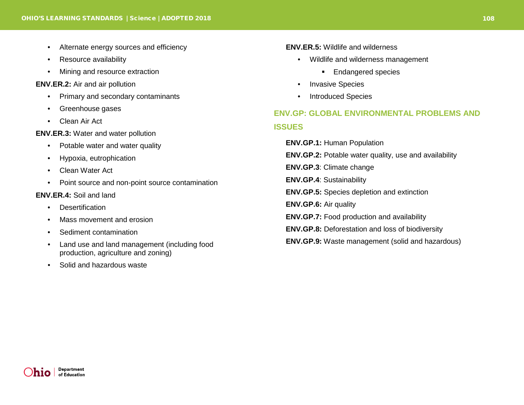- Alternate energy sources and efficiency
- Resource availability
- Mining and resource extraction

#### **ENV.ER.2:** Air and air pollution

- Primary and secondary contaminants
- Greenhouse gases
- Clean Air Act

**ENV.ER.3:** Water and water pollution

- Potable water and water quality
- Hypoxia, eutrophication
- Clean Water Act
- Point source and non-point source contamination

#### **ENV.ER.4:** Soil and land

- **Desertification**
- Mass movement and erosion
- Sediment contamination
- Land use and land management (including food production, agriculture and zoning)
- Solid and hazardous waste

#### **ENV.ER.5:** Wildlife and wilderness

- Wildlife and wilderness management
	- **Endangered species**
- Invasive Species
- Introduced Species

## **ENV.GP: GLOBAL ENVIRONMENTAL PROBLEMS AND ISSUES**

- **ENV.GP.1:** Human Population
- **ENV.GP.2:** Potable water quality, use and availability
- **ENV.GP.3**: Climate change
- **ENV.GP.4**: Sustainability
- **ENV.GP.5:** Species depletion and extinction
- **ENV.GP.6:** Air quality
- **ENV.GP.7:** Food production and availability
- **ENV.GP.8:** Deforestation and loss of biodiversity
- **ENV.GP.9:** Waste management (solid and hazardous)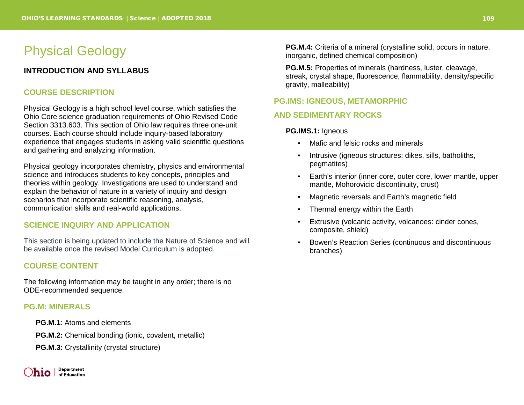## Physical Geology

## **INTRODUCTION AND SYLLABUS**

#### **COURSE DESCRIPTION**

Physical Geology is a high school level course, which satisfies the Ohio Core science graduation requirements of Ohio Revised Code Section 3313.603. This section of Ohio law requires three one-unit courses. Each course should include inquiry-based laboratory experience that engages students in asking valid scientific questions and gathering and analyzing information.

Physical geology incorporates chemistry, physics and environmental science and introduces students to key concepts, principles and theories within geology. Investigations are used to understand and explain the behavior of nature in a variety of inquiry and design scenarios that incorporate scientific reasoning, analysis, communication skills and real-world applications.

#### **SCIENCE INQUIRY AND APPLICATION**

This section is being updated to include the Nature of Science and will be available once the revised Model Curriculum is adopted.

#### **COURSE CONTENT**

The following information may be taught in any order; there is no ODE-recommended sequence.

#### **PG.M: MINERALS**

- **PG.M.1**: Atoms and elements
- **PG.M.2:** Chemical bonding (ionic, covalent, metallic)
- **PG.M.3: Crystallinity (crystal structure)**

**Department** hio l of Education

**PG.M.4:** Criteria of a mineral (crystalline solid, occurs in nature, inorganic, defined chemical composition)

**PG.M.5:** Properties of minerals (hardness, luster, cleavage, streak, crystal shape, fluorescence, flammability, density/specific gravity, malleability)

#### **PG.IMS: IGNEOUS, METAMORPHIC**

#### **AND SEDIMENTARY ROCKS**

#### **PG.IMS.1:** Igneous

- Mafic and felsic rocks and minerals
- Intrusive (igneous structures: dikes, sills, batholiths, pegmatites)
- Earth's interior (inner core, outer core, lower mantle, upper mantle, Mohorovicic discontinuity, crust)
- Magnetic reversals and Earth's magnetic field
- Thermal energy within the Earth
- Extrusive (volcanic activity, volcanoes: cinder cones, composite, shield)
- Bowen's Reaction Series (continuous and discontinuous branches)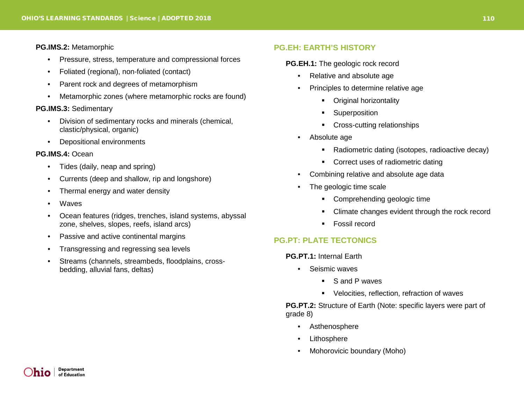#### **PG.IMS.2:** Metamorphic

- Pressure, stress, temperature and compressional forces
- Foliated (regional), non-foliated (contact)
- Parent rock and degrees of metamorphism
- Metamorphic zones (where metamorphic rocks are found)

#### **PG.IMS.3:** Sedimentary

- Division of sedimentary rocks and minerals (chemical, clastic/physical, organic)
- Depositional environments

#### **PG.IMS.4:** Ocean

- Tides (daily, neap and spring)
- Currents (deep and shallow, rip and longshore)
- Thermal energy and water density
- Waves
- Ocean features (ridges, trenches, island systems, abyssal zone, shelves, slopes, reefs, island arcs)
- Passive and active continental margins
- Transgressing and regressing sea levels
- Streams (channels, streambeds, floodplains, crossbedding, alluvial fans, deltas)

#### **PG.EH: EARTH'S HISTORY**

**PG.EH.1:** The geologic rock record

- Relative and absolute age
- Principles to determine relative age
	- **•** Original horizontality
	- **Superposition**
	- **Cross-cutting relationships**
- Absolute age
	- Radiometric dating (isotopes, radioactive decay)
	- Correct uses of radiometric dating
- Combining relative and absolute age data
- The geologic time scale
	- Comprehending geologic time
	- Climate changes evident through the rock record
	- Fossil record

## **PG.PT: PLATE TECTONICS**

**PG.PT.1:** Internal Earth

- Seismic waves
	- S and P waves
	- **•** Velocities, reflection, refraction of waves

**PG.PT.2:** Structure of Earth (Note: specific layers were part of grade 8)

- Asthenosphere
- **Lithosphere**
- Mohorovicic boundary (Moho)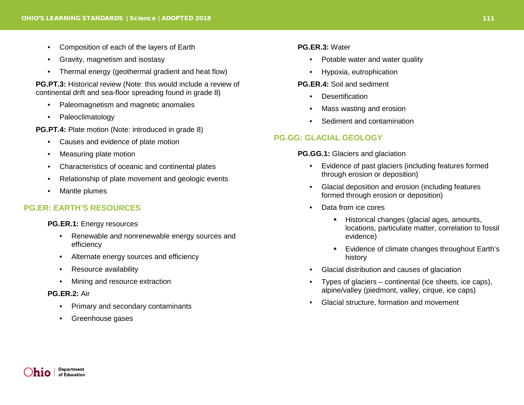- Composition of each of the layers of Earth
- Gravity, magnetism and isostasy
- Thermal energy (geothermal gradient and heat flow)

**PG.PT.3:** Historical review (Note: this would include a review of continental drift and sea-floor spreading found in grade 8)

- Paleomagnetism and magnetic anomalies
- Paleoclimatology

**PG.PT.4:** Plate motion (Note: introduced in grade 8)

- Causes and evidence of plate motion
- Measuring plate motion
- Characteristics of oceanic and continental plates
- Relationship of plate movement and geologic events
- Mantle plumes

## **PG.ER: EARTH'S RESOURCES**

**PG.ER.1:** Energy resources

- Renewable and nonrenewable energy sources and efficiency
- Alternate energy sources and efficiency
- Resource availability
- Mining and resource extraction

#### **PG.ER.2:** Air

- Primary and secondary contaminants
- Greenhouse gases

#### **PG.ER.3:** Water

- Potable water and water quality
- Hypoxia, eutrophication

#### **PG.ER.4:** Soil and sediment

- **Desertification**
- Mass wasting and erosion
- Sediment and contamination

## **PG.GG: GLACIAL GEOLOGY**

**PG.GG.1:** Glaciers and glaciation

- Evidence of past glaciers (including features formed through erosion or deposition)
- Glacial deposition and erosion (including features formed through erosion or deposition)
- Data from ice cores
	- Historical changes (glacial ages, amounts, locations, particulate matter, correlation to fossil evidence)
	- Evidence of climate changes throughout Earth's history
- Glacial distribution and causes of glaciation
- Types of glaciers continental (ice sheets, ice caps), alpine/valley (piedmont, valley, cirque, ice caps)
- Glacial structure, formation and movement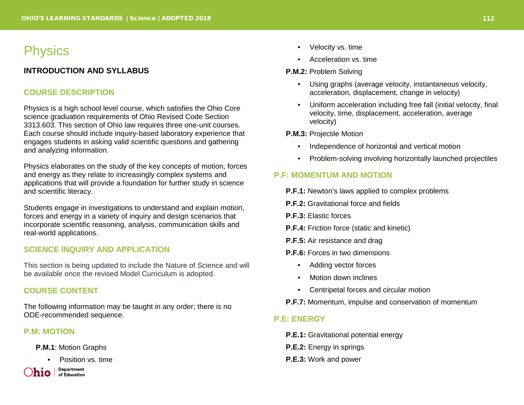## **Physics**

## **INTRODUCTION AND SYLLABUS**

#### **COURSE DESCRIPTION**

Physics is a high school level course, which satisfies the Ohio Core science graduation requirements of Ohio Revised Code Section 3313.603. This section of Ohio law requires three one-unit courses. Each course should include inquiry-based laboratory experience that engages students in asking valid scientific questions and gathering and analyzing information.

Physics elaborates on the study of the key concepts of motion, forces and energy as they relate to increasingly complex systems and applications that will provide a foundation for further study in science and scientific literacy.

Students engage in investigations to understand and explain motion, forces and energy in a variety of inquiry and design scenarios that incorporate scientific reasoning, analysis, communication skills and real-world applications.

#### **SCIENCE INQUIRY AND APPLICATION**

This section is being updated to include the Nature of Science and will be available once the revised Model Curriculum is adopted.

#### **COURSE CONTENT**

The following information may be taught in any order; there is no ODE-recommended sequence.

#### **P.M: MOTION**

**P.M.1**: Motion Graphs

• Position vs. time

**Department** hio l of Education

- Velocity vs. time
- Acceleration vs. time

#### **P.M.2:** Problem Solving

- Using graphs (average velocity, instantaneous velocity, acceleration, displacement, change in velocity)
- Uniform acceleration including free fall (initial velocity, final velocity, time, displacement, acceleration, average velocity)

**P.M.3:** Projectile Motion

- Independence of horizontal and vertical motion
- Problem-solving involving horizontally launched projectiles

## **P.F: MOMENTUM AND MOTION**

- **P.F.1:** Newton's laws applied to complex problems
- **P.F.2:** Gravitational force and fields
- **P.F.3:** Elastic forces
- **P.F.4:** Friction force (static and kinetic)
- **P.F.5:** Air resistance and drag
- **P.F.6:** Forces in two dimensions
	- Adding vector forces
	- Motion down inclines
	- Centripetal forces and circular motion
- **P.F.7:** Momentum, impulse and conservation of momentum

#### **P.E: ENERGY**

- **P.E.1:** Gravitational potential energy
- **P.E.2:** Energy in springs
- **P.E.3:** Work and power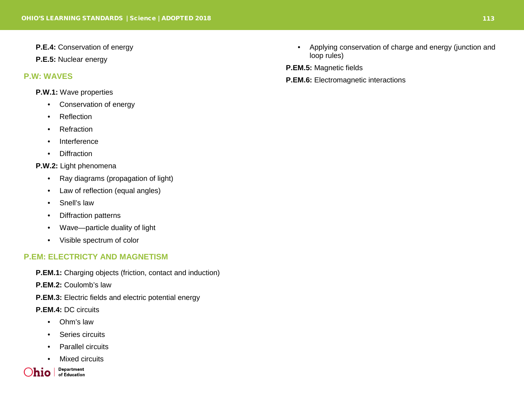- **P.E.4:** Conservation of energy
- **P.E.5:** Nuclear energy

#### **P.W: WAVES**

#### **P.W.1:** Wave properties

- Conservation of energy
- Reflection
- Refraction
- Interference
- Diffraction

#### **P.W.2:** Light phenomena

- Ray diagrams (propagation of light)
- Law of reflection (equal angles)
- Snell's law
- Diffraction patterns
- Wave—particle duality of light
- Visible spectrum of color

## **P.EM: ELECTRICTY AND MAGNETISM**

- **P.EM.1:** Charging objects (friction, contact and induction)
- **P.EM.2:** Coulomb's law
- **P.EM.3:** Electric fields and electric potential energy
- **P.EM.4:** DC circuits
	- Ohm's law
	- Series circuits
	- Parallel circuits
	- **Mixed circuits**

Department )hio l of Education • Applying conservation of charge and energy (junction and loop rules)

**P.EM.5:** Magnetic fields

**P.EM.6:** Electromagnetic interactions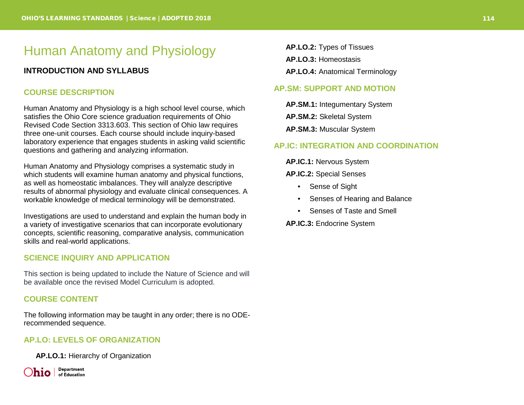# Human Anatomy and Physiology

## **INTRODUCTION AND SYLLABUS**

#### **COURSE DESCRIPTION**

Human Anatomy and Physiology is a high school level course, which satisfies the Ohio Core science graduation requirements of Ohio Revised Code Section 3313.603. This section of Ohio law requires three one-unit courses. Each course should include inquiry-based laboratory experience that engages students in asking valid scientific questions and gathering and analyzing information.

Human Anatomy and Physiology comprises a systematic study in which students will examine human anatomy and physical functions, as well as homeostatic imbalances. They will analyze descriptive results of abnormal physiology and evaluate clinical consequences. A workable knowledge of medical terminology will be demonstrated.

Investigations are used to understand and explain the human body in a variety of investigative scenarios that can incorporate evolutionary concepts, scientific reasoning, comparative analysis, communication skills and real-world applications.

#### **SCIENCE INQUIRY AND APPLICATION**

This section is being updated to include the Nature of Science and will be available once the revised Model Curriculum is adopted.

#### **COURSE CONTENT**

The following information may be taught in any order; there is no ODErecommended sequence.

#### **AP.LO: LEVELS OF ORGANIZATION**

**AP.LO.1:** Hierarchy of Organization

Department  $\int$ **hio**  $\int$  of Education **AP.LO.2:** Types of Tissues **AP.LO.3:** Homeostasis **AP.LO.4:** Anatomical Terminology

#### **AP.SM: SUPPORT AND MOTION**

**AP.SM.1:** Integumentary System **AP.SM.2:** Skeletal System **AP.SM.3:** Muscular System

#### **AP.IC: INTEGRATION AND COORDINATION**

**AP.IC.1:** Nervous System

**AP.IC.2:** Special Senses

- Sense of Sight
- Senses of Hearing and Balance
- Senses of Taste and Smell

**AP.IC.3:** Endocrine System